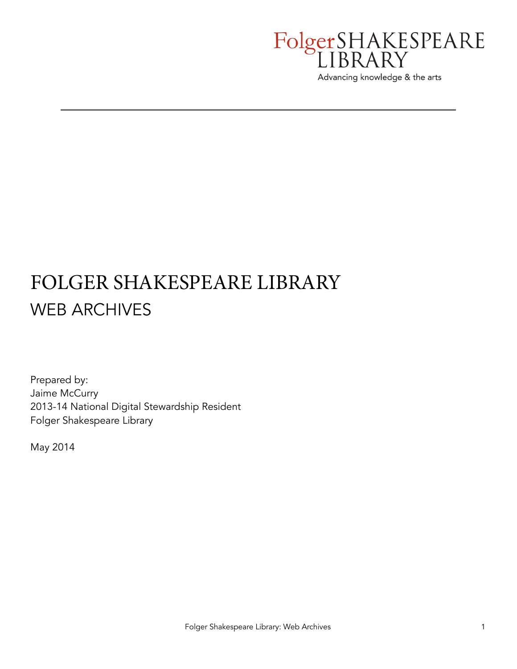

# FOLGER SHAKESPEARE LIBRARY WEB ARCHIVES

Prepared by: Jaime McCurry 2013-14 National Digital Stewardship Resident Folger Shakespeare Library

May 2014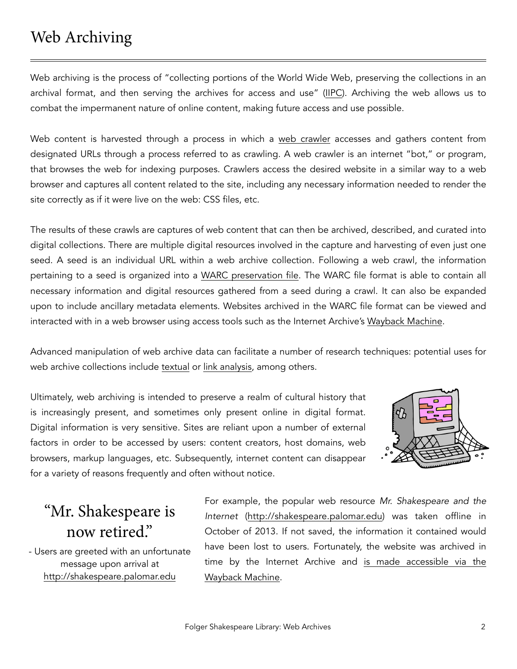## Web Archiving

Web archiving is the process of "collecting portions of the World Wide Web, preserving the collections in an archival format, and then serving the archives for access and use" ([IIPC](http://netpreserve.org/web-archiving/overview)). Archiving the web allows us to combat the impermanent nature of online content, making future access and use possible.

Web content is harvested through a process in which a [web crawler](http://en.wikipedia.org/wiki/Web_crawler) accesses and gathers content from designated URLs through a process referred to as crawling. A web crawler is an internet "bot," or program, that browses the web for indexing purposes. Crawlers access the desired website in a similar way to a web browser and captures all content related to the site, including any necessary information needed to render the site correctly as if it were live on the web: CSS files, etc.

The results of these crawls are captures of web content that can then be archived, described, and curated into digital collections. There are multiple digital resources involved in the capture and harvesting of even just one seed. A seed is an individual URL within a web archive collection. Following a web crawl, the information pertaining to a seed is organized into a [WARC preservation file.](http://www.digitalpreservation.gov/formats/fdd/fdd000236.shtml) The WARC file format is able to contain all necessary information and digital resources gathered from a seed during a crawl. It can also be expanded upon to include ancillary metadata elements. Websites archived in the WARC file format can be viewed and interacted with in a web browser using access tools such as the Internet Archive's [Wayback Machine.](http://archive.org/web/)

Advanced manipulation of web archive data can facilitate a number of research techniques: potential uses for web archive collections include [textual](http://digitalpreservation.gov/documents/big-data-report-andrea-fox0414.pdf?loclr=blogsig) or [link analysis](http://www.webarchive.org.uk/ukwa/visualisation/ukwa.ds.2/linkage), among others.

Ultimately, web archiving is intended to preserve a realm of cultural history that is increasingly present, and sometimes only present online in digital format. Digital information is very sensitive. Sites are reliant upon a number of external factors in order to be accessed by users: content creators, host domains, web browsers, markup languages, etc. Subsequently, internet content can disappear for a variety of reasons frequently and often without notice.



## "Mr. Shakespeare is now retired."

- Users are greeted with an unfortunate message upon arrival at <http://shakespeare.palomar.edu>

For example, the popular web resource *Mr. Shakespeare and the Internet* [\(http://shakespeare.palomar.edu\)](http://shakespeare.palomar.edu) was taken offline in October of 2013. If not saved, the information it contained would have been lost to users. Fortunately, the website was archived in [time by the Internet Archive and is made accessible via the](http://web.archive.org/web/20130906212613/http://shakespeare.palomar.edu/) Wayback Machine.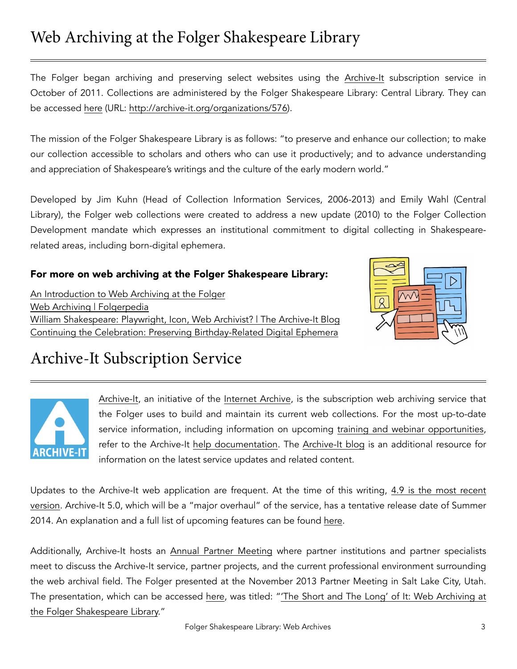#### Folger Shakespeare Library: Web Archives 33

### Web Archiving at the Folger Shakespeare Library

The Folger began archiving and preserving select websites using the [Archive-It](http://archive-it.org) subscription service in October of 2011. Collections are administered by the Folger Shakespeare Library: Central Library. They can be accessed [here](https://archive-it.org/organizations/576) (URL: <http://archive-it.org/organizations/576>).

The mission of the Folger Shakespeare Library is as follows: "to preserve and enhance our collection; to make our collection accessible to scholars and others who can use it productively; and to advance understanding and appreciation of Shakespeare's writings and the culture of the early modern world."

Developed by Jim Kuhn (Head of Collection Information Services, 2006-2013) and Emily Wahl (Central Library), the Folger web collections were created to address a new update (2010) to the Folger Collection Development mandate which expresses an institutional commitment to digital collecting in Shakespearerelated areas, including born-digital ephemera.

#### For more on web archiving at the Folger Shakespeare Library:

[An Introduction to Web Archiving at the Folger](http://collation.folger.edu/2014/02/an-introduction-to-web-archiving-at-the-folger/) [Web Archiving | Folgerpedia](http://folgerpedia.folger.edu/Web_archiving) [William Shakespeare: Playwright, Icon, Web Archivist? | The Archive-It Blog](http://blog.archive-it.org/2013/12/04/william-shakespeare-playwright-icon-web-archivist/) [Continuing the Celebration: Preserving Birthday-Related Digital Ephemera](http://collation.folger.edu/2014/04/continuing-the-celebration-preserving-birthday-related-digital-ephemera/?utm_source=rss&utm_medium=rss&utm_campaign=continuing-the-celebration-preserving-birthday-related-digital-ephemera)



### Archive-It Subscription Service



[Archive-It,](https://archive-it.org) an initiative of the [Internet Archive](https://archive.org/index.php), is the subscription web archiving service that the Folger uses to build and maintain its current web collections. For the most up-to-date service information, including information on upcoming [training and webinar opportunities,](https://webarchive.jira.com/wiki/display/ARIH/Archive-It+Trainings+and+Webinars) refer to the Archive-It [help documentation.](https://webarchive.jira.com/wiki/display/ARIH/Welcome) The [Archive-It blog](http://blog.archive-it.org) is an additional resource for information on the latest service updates and related content.

[Updates to the Archive-It web application are frequent. At the time of this writing, 4.9 is the most recent](http://blog.archive-it.org/2014/03/13/introducing-archive-it-4-9-and-umbra/) version. Archive-It 5.0, which will be a "major overhaul" of the service, has a tentative release date of Summer 2014. An explanation and a full list of upcoming features can be found [here.](https://webarchive.jira.com/wiki/display/ARIH/5.0+Release)

Additionally, Archive-It hosts an [Annual Partner Meeting](https://webarchive.jira.com/wiki/display/ARIH/Archive-It+Resources%2C+Presentations+and+Events) where partner institutions and partner specialists meet to discuss the Archive-It service, partner projects, and the current professional environment surrounding the web archival field. The Folger presented at the November 2013 Partner Meeting in Salt Lake City, Utah. [The presentation, which can be accessed](https://webarchive.jira.com/wiki/download/attachments/61145091/McCurry_FolgerShakespeareLibrary_20131112.pdf?version=1&modificationDate=1384778438209&api=v2) [here](https://webarchive.jira.com/wiki/display/ARIH/Archive-It+Partner+Meeting+Presentations,+2013), was titled: "The Short and The Long' of It: Web Archiving at the Folger Shakespeare Library."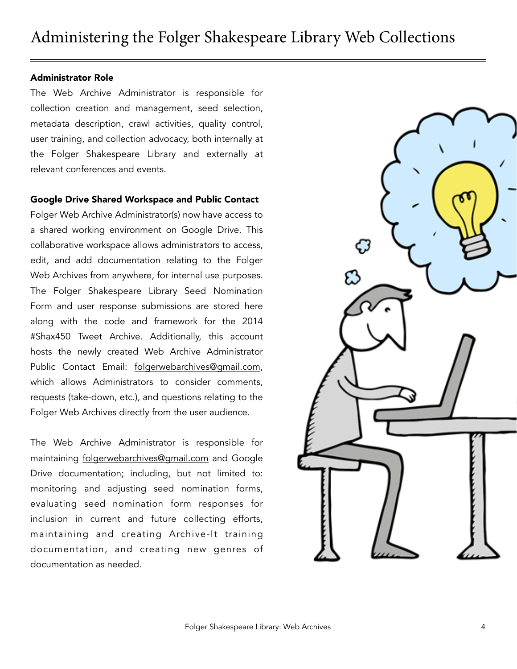#### Administrator Role

The Web Archive Administrator is responsible for collection creation and management, seed selection, metadata description, crawl activities, quality control, user training, and collection advocacy, both internally at the Folger Shakespeare Library and externally at relevant conferences and events.

#### Google Drive Shared Workspace and Public Contact

Folger Web Archive Administrator(s) now have access to a shared working environment on Google Drive. This collaborative workspace allows administrators to access, edit, and add documentation relating to the Folger Web Archives from anywhere, for internal use purposes. The Folger Shakespeare Library Seed Nomination Form and user response submissions are stored here along with the code and framework for the 2014 [#Shax450 Tweet Archive](https://docs.google.com/spreadsheet/pub?key=0AkgmeYonaMqPdEU1YmZHWm9hRHhhSGN4bERPRXVBcUE&gid=120). Additionally, this account hosts the newly created Web Archive Administrator Public Contact Email: [folgerwebarchives@gmail.com](mailto:folgerwebarchives@gmail.com), which allows Administrators to consider comments, requests (take-down, etc.), and questions relating to the Folger Web Archives directly from the user audience.

The Web Archive Administrator is responsible for maintaining [folgerwebarchives@gmail.com](mailto:folgerwebarchives@gmail.com) and Google Drive documentation; including, but not limited to: monitoring and adjusting seed nomination forms, evaluating seed nomination form responses for inclusion in current and future collecting efforts, maintaining and creating Archive-It training documentation, and creating new genres of documentation as needed.

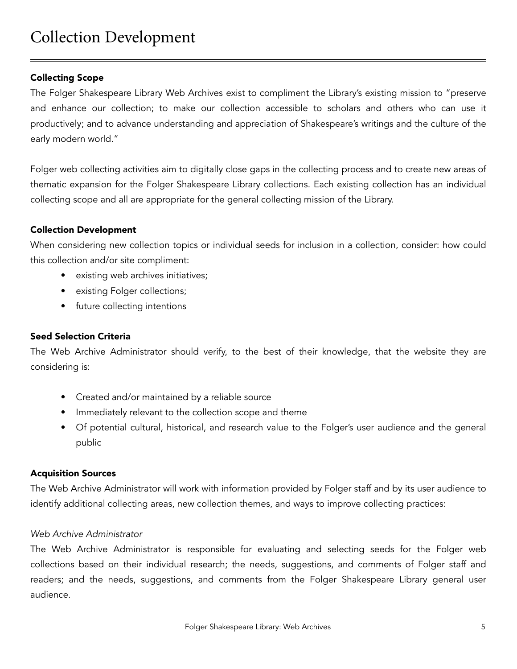#### Collecting Scope

The Folger Shakespeare Library Web Archives exist to compliment the Library's existing mission to "preserve and enhance our collection; to make our collection accessible to scholars and others who can use it productively; and to advance understanding and appreciation of Shakespeare's writings and the culture of the early modern world."

Folger web collecting activities aim to digitally close gaps in the collecting process and to create new areas of thematic expansion for the Folger Shakespeare Library collections. Each existing collection has an individual collecting scope and all are appropriate for the general collecting mission of the Library.

#### Collection Development

When considering new collection topics or individual seeds for inclusion in a collection, consider: how could this collection and/or site compliment:

- existing web archives initiatives;
- existing Folger collections;
- future collecting intentions

#### Seed Selection Criteria

The Web Archive Administrator should verify, to the best of their knowledge, that the website they are considering is:

- Created and/or maintained by a reliable source
- Immediately relevant to the collection scope and theme
- Of potential cultural, historical, and research value to the Folger's user audience and the general public

#### Acquisition Sources

The Web Archive Administrator will work with information provided by Folger staff and by its user audience to identify additional collecting areas, new collection themes, and ways to improve collecting practices:

#### *Web Archive Administrator*

The Web Archive Administrator is responsible for evaluating and selecting seeds for the Folger web collections based on their individual research; the needs, suggestions, and comments of Folger staff and readers; and the needs, suggestions, and comments from the Folger Shakespeare Library general user audience.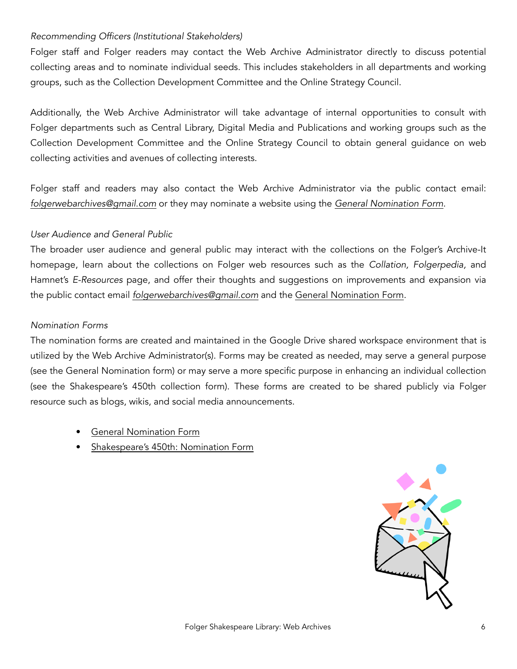#### *Recommending Officers (Institutional Stakeholders)*

Folger staff and Folger readers may contact the Web Archive Administrator directly to discuss potential collecting areas and to nominate individual seeds. This includes stakeholders in all departments and working groups, such as the Collection Development Committee and the Online Strategy Council.

Additionally, the Web Archive Administrator will take advantage of internal opportunities to consult with Folger departments such as Central Library, Digital Media and Publications and working groups such as the Collection Development Committee and the Online Strategy Council to obtain general guidance on web collecting activities and avenues of collecting interests.

Folger staff and readers may also contact the Web Archive Administrator via the public contact email: *[folgerwebarchives@gmail.com](mailto:folgerwebarchives@gmail.com)* or they may nominate a website using the *[General Nomination Form](https://docs.google.com/forms/d/1qyTzq2bCaDuMyUQ-UEQuw4qCaGbjxMoNNNIOykbK6wY/viewform)*.

#### *User Audience and General Public*

The broader user audience and general public may interact with the collections on the Folger's Archive-It homepage, learn about the collections on Folger web resources such as the *Collation, Folgerpedia,* and Hamnet's *E-Resources* page, and offer their thoughts and suggestions on improvements and expansion via the public contact email *[folgerwebarchives@gmail.com](mailto:folgerwebarchives@gmail.com)* and the [General Nomination Form](https://docs.google.com/forms/d/1qyTzq2bCaDuMyUQ-UEQuw4qCaGbjxMoNNNIOykbK6wY/viewform).

#### *Nomination Forms*

The nomination forms are created and maintained in the Google Drive shared workspace environment that is utilized by the Web Archive Administrator(s). Forms may be created as needed, may serve a general purpose (see the General Nomination form) or may serve a more specific purpose in enhancing an individual collection (see the Shakespeare's 450th collection form). These forms are created to be shared publicly via Folger resource such as blogs, wikis, and social media announcements.

- **[General Nomination Form](https://docs.google.com/forms/d/1qyTzq2bCaDuMyUQ-UEQuw4qCaGbjxMoNNNIOykbK6wY/viewform)**
- • [Shakespeare's 450th: Nomination Form](https://docs.google.com/forms/d/1PMsEIy7bJLUHMbp19YyskEd28y3rziQ07YtI7fYqBlQ/viewform)

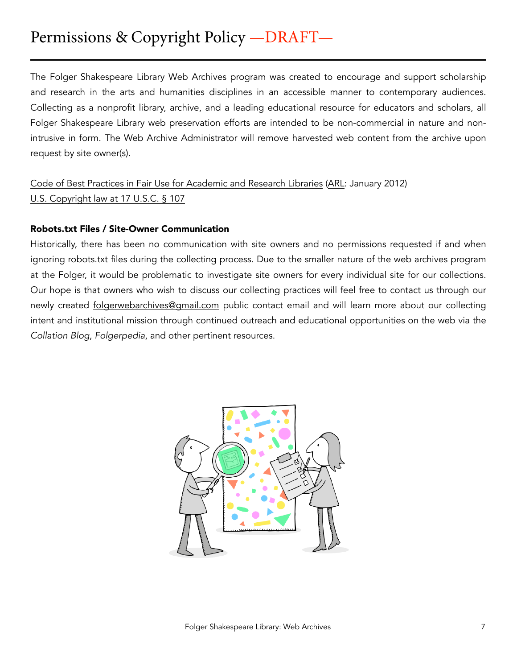The Folger Shakespeare Library Web Archives program was created to encourage and support scholarship and research in the arts and humanities disciplines in an accessible manner to contemporary audiences. Collecting as a nonprofit library, archive, and a leading educational resource for educators and scholars, all Folger Shakespeare Library web preservation efforts are intended to be non-commercial in nature and nonintrusive in form. The Web Archive Administrator will remove harvested web content from the archive upon request by site owner(s).

[Code of Best Practices in Fair Use for Academic and Research Libraries](http://www.arl.org/storage/documents/publications/code-of-best-practices-fair-use.pdf) [\(ARL](http://www.arl.org/): January 2012) [U.S. Copyright law at 17 U.S.C. § 107](http://www.law.cornell.edu/uscode/text/17/107)

#### Robots.txt Files / Site-Owner Communication

Historically, there has been no communication with site owners and no permissions requested if and when ignoring robots.txt files during the collecting process. Due to the smaller nature of the web archives program at the Folger, it would be problematic to investigate site owners for every individual site for our collections. Our hope is that owners who wish to discuss our collecting practices will feel free to contact us through our newly created [folgerwebarchives@gmail.com](mailto:folgerwebarchives@gmail.com) public contact email and will learn more about our collecting intent and institutional mission through continued outreach and educational opportunities on the web via the *Collation Blog*, *Folgerpedia*, and other pertinent resources.

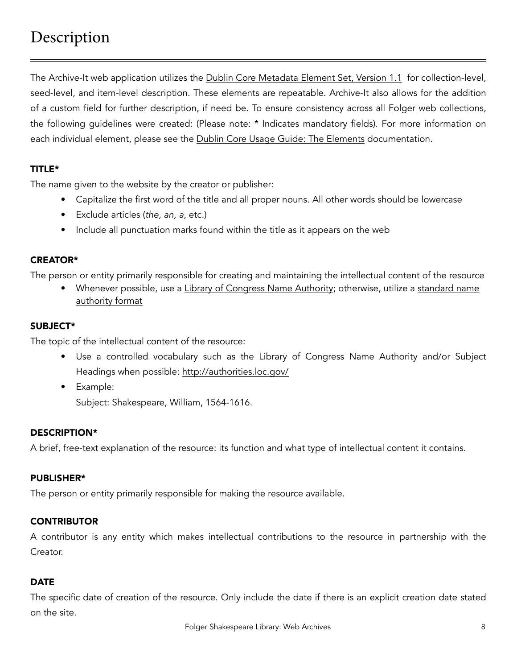The Archive-It web application utilizes the [Dublin Core Metadata Element Set, Version 1.1](http://dublincore.org/documents/dces/) for collection-level, seed-level, and item-level description. These elements are repeatable. Archive-It also allows for the addition of a custom field for further description, if need be. To ensure consistency across all Folger web collections, the following guidelines were created: (Please note: \* Indicates mandatory fields). For more information on each individual element, please see the [Dublin Core Usage Guide: The Elements](http://dublincore.org/documents/usageguide/elements.shtml) documentation.

#### TITLE\*

The name given to the website by the creator or publisher:

- Capitalize the first word of the title and all proper nouns. All other words should be lowercase
- Exclude articles (*the, an, a,* etc.)
- Include all punctuation marks found within the title as it appears on the web

#### CREATOR\*

The person or entity primarily responsible for creating and maintaining the intellectual content of the resource

• [Whenever possible, use a L](https://oclc.org/support/services/worldcat/documentation/authorities/authformat.en.html)[ibrary of Congress Name Authority](http://authorities.loc.gov)[; otherwise, utilize a standard name](https://oclc.org/support/services/worldcat/documentation/authorities/authformat.en.html)  authority format

#### SUBJECT\*

The topic of the intellectual content of the resource:

- Use a controlled vocabulary such as the Library of Congress Name Authority and/or Subject Headings when possible: <http://authorities.loc.gov/>
- Example: Subject: Shakespeare, William, 1564-1616.

#### DESCRIPTION\*

A brief, free-text explanation of the resource: its function and what type of intellectual content it contains.

#### PUBLISHER\*

The person or entity primarily responsible for making the resource available.

#### **CONTRIBUTOR**

A contributor is any entity which makes intellectual contributions to the resource in partnership with the Creator.

#### DATE

The specific date of creation of the resource. Only include the date if there is an explicit creation date stated on the site.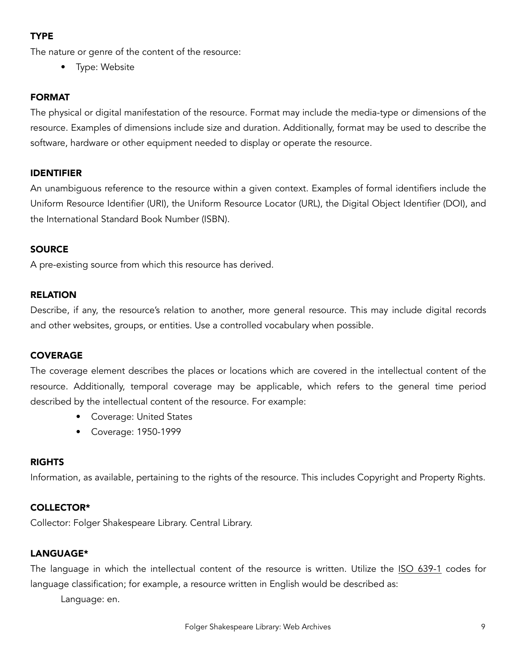#### TYPE

The nature or genre of the content of the resource:

• Type: Website

#### FORMAT

The physical or digital manifestation of the resource. Format may include the media-type or dimensions of the resource. Examples of dimensions include size and duration. Additionally, format may be used to describe the software, hardware or other equipment needed to display or operate the resource.

#### IDENTIFIER

An unambiguous reference to the resource within a given context. Examples of formal identifiers include the Uniform Resource Identifier (URI), the Uniform Resource Locator (URL), the Digital Object Identifier (DOI), and the International Standard Book Number (ISBN).

#### **SOURCE**

A pre-existing source from which this resource has derived.

#### RELATION

Describe, if any, the resource's relation to another, more general resource. This may include digital records and other websites, groups, or entities. Use a controlled vocabulary when possible.

#### COVERAGE

The coverage element describes the places or locations which are covered in the intellectual content of the resource. Additionally, temporal coverage may be applicable, which refers to the general time period described by the intellectual content of the resource. For example:

- Coverage: United States
- Coverage: 1950-1999

#### RIGHTS

Information, as available, pertaining to the rights of the resource. This includes Copyright and Property Rights.

#### COLLECTOR\*

Collector: Folger Shakespeare Library. Central Library.

#### LANGUAGE\*

The language in which the intellectual content of the resource is written. Utilize the [ISO 639-1](http://en.wikipedia.org/wiki/ISO_639-1) codes for language classification; for example, a resource written in English would be described as:

Language: en.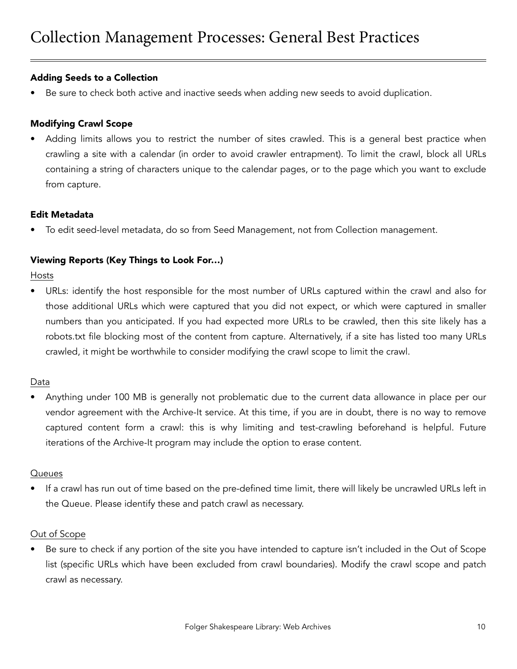#### Adding Seeds to a Collection

Be sure to check both active and inactive seeds when adding new seeds to avoid duplication.

#### Modifying Crawl Scope

Adding limits allows you to restrict the number of sites crawled. This is a general best practice when crawling a site with a calendar (in order to avoid crawler entrapment). To limit the crawl, block all URLs containing a string of characters unique to the calendar pages, or to the page which you want to exclude from capture.

#### Edit Metadata

• To edit seed-level metadata, do so from Seed Management, not from Collection management.

#### Viewing Reports (Key Things to Look For…)

Hosts

• URLs: identify the host responsible for the most number of URLs captured within the crawl and also for those additional URLs which were captured that you did not expect, or which were captured in smaller numbers than you anticipated. If you had expected more URLs to be crawled, then this site likely has a robots.txt file blocking most of the content from capture. Alternatively, if a site has listed too many URLs crawled, it might be worthwhile to consider modifying the crawl scope to limit the crawl.

#### Data

• Anything under 100 MB is generally not problematic due to the current data allowance in place per our vendor agreement with the Archive-It service. At this time, if you are in doubt, there is no way to remove captured content form a crawl: this is why limiting and test-crawling beforehand is helpful. Future iterations of the Archive-It program may include the option to erase content.

#### **Queues**

• If a crawl has run out of time based on the pre-defined time limit, there will likely be uncrawled URLs left in the Queue. Please identify these and patch crawl as necessary.

#### Out of Scope

Be sure to check if any portion of the site you have intended to capture isn't included in the Out of Scope list (specific URLs which have been excluded from crawl boundaries). Modify the crawl scope and patch crawl as necessary.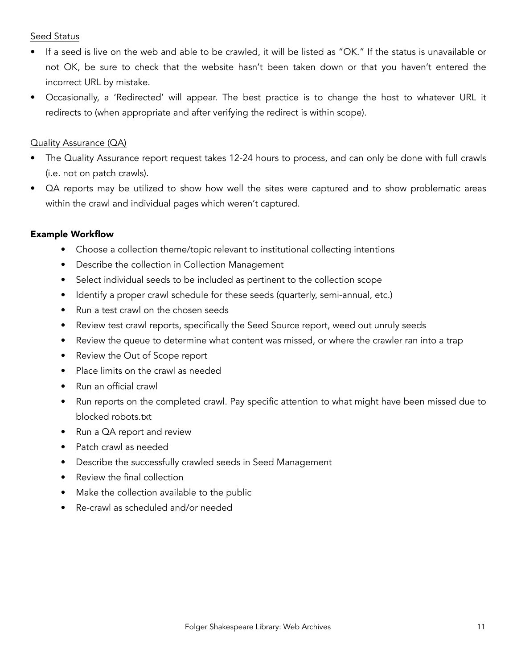#### Seed Status

- If a seed is live on the web and able to be crawled, it will be listed as "OK." If the status is unavailable or not OK, be sure to check that the website hasn't been taken down or that you haven't entered the incorrect URL by mistake.
- Occasionally, a 'Redirected' will appear. The best practice is to change the host to whatever URL it redirects to (when appropriate and after verifying the redirect is within scope).

#### Quality Assurance (QA)

- The Quality Assurance report request takes 12-24 hours to process, and can only be done with full crawls (i.e. not on patch crawls).
- QA reports may be utilized to show how well the sites were captured and to show problematic areas within the crawl and individual pages which weren't captured.

#### Example Workflow

- Choose a collection theme/topic relevant to institutional collecting intentions
- Describe the collection in Collection Management
- Select individual seeds to be included as pertinent to the collection scope
- Identify a proper crawl schedule for these seeds (quarterly, semi-annual, etc.)
- Run a test crawl on the chosen seeds
- Review test crawl reports, specifically the Seed Source report, weed out unruly seeds
- Review the queue to determine what content was missed, or where the crawler ran into a trap
- Review the Out of Scope report
- Place limits on the crawl as needed
- Run an official crawl
- Run reports on the completed crawl. Pay specific attention to what might have been missed due to blocked robots.txt
- Run a QA report and review
- Patch crawl as needed
- Describe the successfully crawled seeds in Seed Management
- Review the final collection
- Make the collection available to the public
- Re-crawl as scheduled and/or needed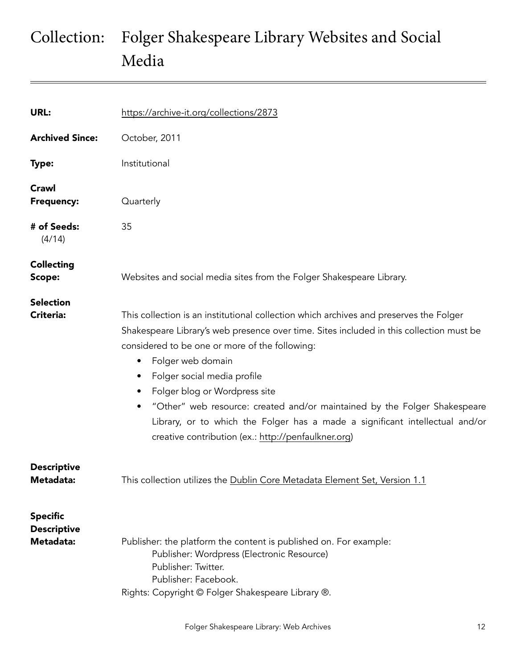# Collection: Folger Shakespeare Library Websites and Social Media

| URL:                                               | https://archive-it.org/collections/2873                                                                                                                                                                                                                                                                                                                                                                                                                                                                                                                   |
|----------------------------------------------------|-----------------------------------------------------------------------------------------------------------------------------------------------------------------------------------------------------------------------------------------------------------------------------------------------------------------------------------------------------------------------------------------------------------------------------------------------------------------------------------------------------------------------------------------------------------|
| <b>Archived Since:</b>                             | October, 2011                                                                                                                                                                                                                                                                                                                                                                                                                                                                                                                                             |
| <b>Type:</b>                                       | Institutional                                                                                                                                                                                                                                                                                                                                                                                                                                                                                                                                             |
| Crawl<br><b>Frequency:</b>                         | Quarterly                                                                                                                                                                                                                                                                                                                                                                                                                                                                                                                                                 |
| # of Seeds:<br>(4/14)                              | 35                                                                                                                                                                                                                                                                                                                                                                                                                                                                                                                                                        |
| <b>Collecting</b><br>Scope:                        | Websites and social media sites from the Folger Shakespeare Library.                                                                                                                                                                                                                                                                                                                                                                                                                                                                                      |
| <b>Selection</b><br><b>Criteria:</b>               | This collection is an institutional collection which archives and preserves the Folger<br>Shakespeare Library's web presence over time. Sites included in this collection must be<br>considered to be one or more of the following:<br>Folger web domain<br>$\bullet$<br>Folger social media profile<br>Folger blog or Wordpress site<br>"Other" web resource: created and/or maintained by the Folger Shakespeare<br>Library, or to which the Folger has a made a significant intellectual and/or<br>creative contribution (ex.: http://penfaulkner.org) |
| <b>Descriptive</b><br>Metadata:                    | This collection utilizes the Dublin Core Metadata Element Set, Version 1.1                                                                                                                                                                                                                                                                                                                                                                                                                                                                                |
| <b>Specific</b><br><b>Descriptive</b><br>Metadata: | Publisher: the platform the content is published on. For example:<br>Publisher: Wordpress (Electronic Resource)<br>Publisher: Twitter.<br>Publisher: Facebook.<br>Rights: Copyright © Folger Shakespeare Library ®.                                                                                                                                                                                                                                                                                                                                       |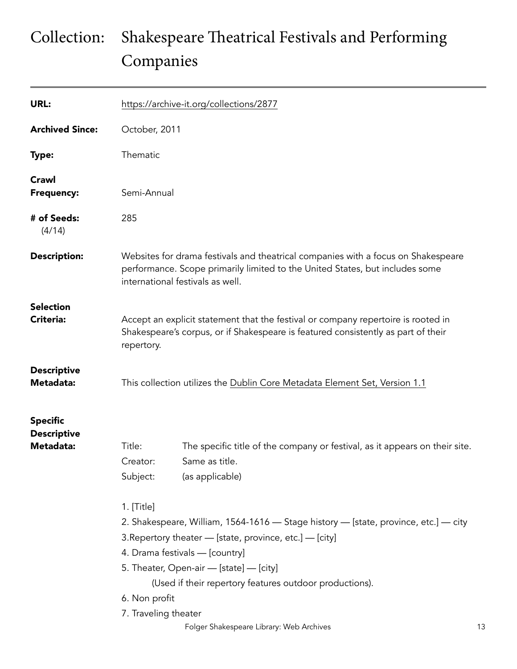# Collection: Shakespeare Theatrical Festivals and Performing Companies

| URL:                                               |                                                     | https://archive-it.org/collections/2877                                                                                                                                                                                                                                                                                            |    |  |  |
|----------------------------------------------------|-----------------------------------------------------|------------------------------------------------------------------------------------------------------------------------------------------------------------------------------------------------------------------------------------------------------------------------------------------------------------------------------------|----|--|--|
| <b>Archived Since:</b>                             |                                                     | October, 2011                                                                                                                                                                                                                                                                                                                      |    |  |  |
| <b>Type:</b>                                       | Thematic                                            |                                                                                                                                                                                                                                                                                                                                    |    |  |  |
| Crawl<br><b>Frequency:</b>                         |                                                     | Semi-Annual                                                                                                                                                                                                                                                                                                                        |    |  |  |
| # of Seeds:<br>(4/14)                              | 285                                                 |                                                                                                                                                                                                                                                                                                                                    |    |  |  |
| <b>Description:</b>                                |                                                     | Websites for drama festivals and theatrical companies with a focus on Shakespeare<br>performance. Scope primarily limited to the United States, but includes some<br>international festivals as well.                                                                                                                              |    |  |  |
| <b>Selection</b><br>Criteria:                      | repertory.                                          | Accept an explicit statement that the festival or company repertoire is rooted in<br>Shakespeare's corpus, or if Shakespeare is featured consistently as part of their                                                                                                                                                             |    |  |  |
| <b>Descriptive</b><br>Metadata:                    |                                                     | This collection utilizes the Dublin Core Metadata Element Set, Version 1.1                                                                                                                                                                                                                                                         |    |  |  |
| <b>Specific</b><br><b>Descriptive</b><br>Metadata: | Title:<br>Creator:<br>Subject:                      | The specific title of the company or festival, as it appears on their site.<br>Same as title.<br>(as applicable)                                                                                                                                                                                                                   |    |  |  |
|                                                    | 1. [Title]<br>6. Non profit<br>7. Traveling theater | 2. Shakespeare, William, 1564-1616 - Stage history - [state, province, etc.] - city<br>3. Repertory theater - [state, province, etc.] - [city]<br>4. Drama festivals - [country]<br>5. Theater, Open-air - [state] - [city]<br>(Used if their repertory features outdoor productions).<br>Folger Shakespeare Library: Web Archives | 13 |  |  |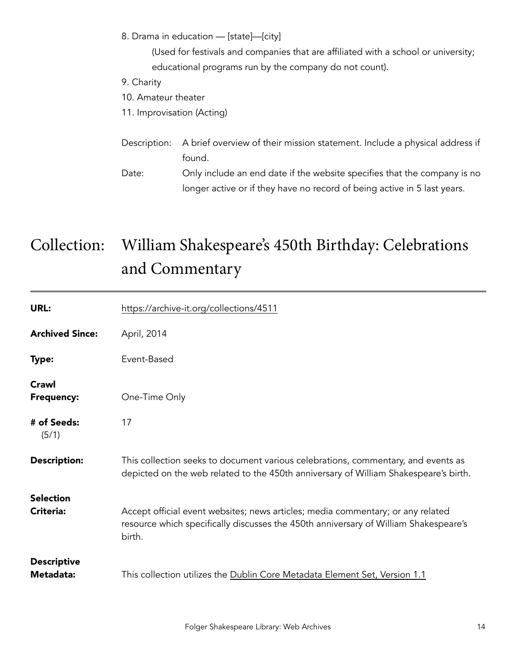8. Drama in education — [state]—[city]

 (Used for festivals and companies that are affiliated with a school or university; educational programs run by the company do not count).

- 9. Charity
- 10. Amateur theater
- 11. Improvisation (Acting)
- Description: A brief overview of their mission statement. Include a physical address if found.
- Date: Only include an end date if the website specifies that the company is no longer active or if they have no record of being active in 5 last years.

# Collection: William Shakespeare's 450th Birthday: Celebrations and Commentary

| URL:                            | https://archive-it.org/collections/4511                                                                                                                                           |
|---------------------------------|-----------------------------------------------------------------------------------------------------------------------------------------------------------------------------------|
| <b>Archived Since:</b>          | April, 2014                                                                                                                                                                       |
| Type:                           | Event-Based                                                                                                                                                                       |
| Crawl<br><b>Frequency:</b>      | One-Time Only                                                                                                                                                                     |
| # of Seeds:<br>(5/1)            | 17                                                                                                                                                                                |
| <b>Description:</b>             | This collection seeks to document various celebrations, commentary, and events as<br>depicted on the web related to the 450th anniversary of William Shakespeare's birth.         |
| <b>Selection</b>                |                                                                                                                                                                                   |
| <b>Criteria:</b>                | Accept official event websites; news articles; media commentary; or any related<br>resource which specifically discusses the 450th anniversary of William Shakespeare's<br>birth. |
| <b>Descriptive</b><br>Metadata: | This collection utilizes the Dublin Core Metadata Element Set, Version 1.1                                                                                                        |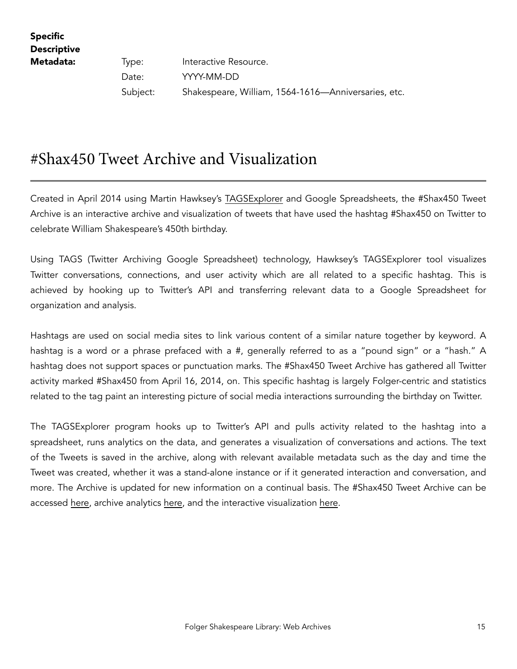Specific **Descriptive** 

**Metadata:** Type: Interactive Resource. Date: YYYY-MM-DD Subject: Shakespeare, William, 1564-1616—Anniversaries, etc.

### #Shax450 Tweet Archive and Visualization

Created in April 2014 using Martin Hawksey's [TAGSExplorer](http://mashe.hawksey.info/2011/10/tagsexplorer-intro/) and Google Spreadsheets, the #Shax450 Tweet Archive is an interactive archive and visualization of tweets that have used the hashtag #Shax450 on Twitter to celebrate William Shakespeare's 450th birthday.

Using TAGS (Twitter Archiving Google Spreadsheet) technology, Hawksey's TAGSExplorer tool visualizes Twitter conversations, connections, and user activity which are all related to a specific hashtag. This is achieved by hooking up to Twitter's API and transferring relevant data to a Google Spreadsheet for organization and analysis.

Hashtags are used on social media sites to link various content of a similar nature together by keyword. A hashtag is a word or a phrase prefaced with a #, generally referred to as a "pound sign" or a "hash." A hashtag does not support spaces or punctuation marks. The #Shax450 Tweet Archive has gathered all Twitter activity marked #Shax450 from April 16, 2014, on. This specific hashtag is largely Folger-centric and statistics related to the tag paint an interesting picture of social media interactions surrounding the birthday on Twitter.

The TAGSExplorer program hooks up to Twitter's API and pulls activity related to the hashtag into a spreadsheet, runs analytics on the data, and generates a visualization of conversations and actions. The text of the Tweets is saved in the archive, along with relevant available metadata such as the day and time the Tweet was created, whether it was a stand-alone instance or if it generated interaction and conversation, and more. The Archive is updated for new information on a continual basis. The #Shax450 Tweet Archive can be accessed [here,](http://bit.ly/1pu3vOv) archive analytics [here,](https://docs.google.com/spreadsheet/pub?key=0AkgmeYonaMqPdEU1YmZHWm9hRHhhSGN4bERPRXVBcUE&gid=120) and the interactive visualization [here](http://hawksey.info/tagsexplorer/?key=0AkgmeYonaMqPdEU1YmZHWm9hRHhhSGN4bERPRXVBcUE&sheet=oaw&mentions=true).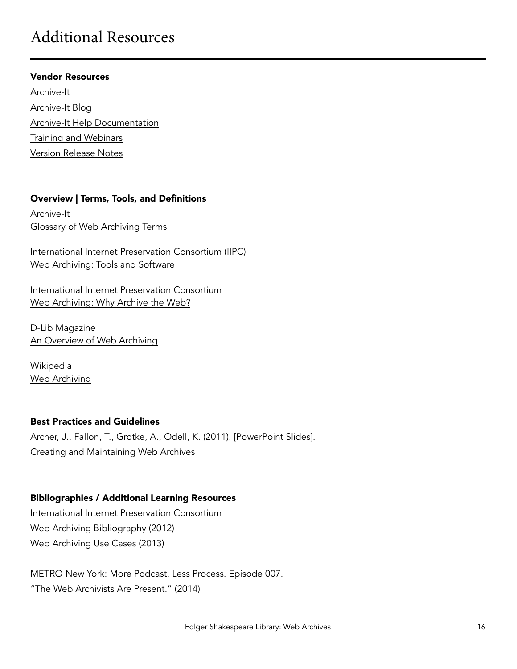## Additional Resources

#### Vendor Resources

[Archive-It](https://archive-it.org) [Archive-It Blog](http://blog.archive-it.org) [Archive-It Help Documentation](https://webarchive.jira.com/wiki/display/ARIH/Welcome) [Training and Webinars](https://webarchive.jira.com/wiki/display/ARIH/Archive-It+Trainings+and+Webinars) [Version Release Notes](https://webarchive.jira.com/wiki/display/ARIH/Release+Notes)

#### Overview | Terms, Tools, and Definitions

Archive-It [Glossary of Web Archiving Terms](https://webarchive.jira.com/wiki/display/ARIH/Glossary+of+Web+Archiving+Terms)

International Internet Preservation Consortium (IIPC) [Web Archiving: Tools and Software](http://www.netpreserve.org/web-archiving/tools-and-software)

International Internet Preservation Consortium [Web Archiving: Why Archive the Web?](http://netpreserve.org/web-archiving/overview) 

D-Lib Magazine [An Overview of Web Archiving](http://dlib.org/dlib/march12/niu/03niu1.html)

Wikipedia [Web Archiving](http://en.wikipedia.org/wiki/Web_archiving)

#### Best Practices and Guidelines

Archer, J., Fallon, T., Grotke, A., Odell, K. (2011). [PowerPoint Slides]. [Creating and Maintaining Web Archives](http://www.slideshare.net/MARAC_Bethlehem/marac-20111021?qid=09222497-62f9-41b9-bd89-e39132b4d69c&v=default&b=&from_search=2)

#### Bibliographies / Additional Learning Resources

International Internet Preservation Consortium [Web Archiving Bibliography](http://netpreserve.org/web-archiving/bibliography) (2012) [Web Archiving Use Cases](http://netpreserve.org/sites/default/files/resources/UseCases_Final_1.pdf) (2013)

METRO New York: More Podcast, Less Process. Episode 007. ["The Web Archivists Are Present."](http://keepingcollections.org/more-podcast-less-process-episode-007/) (2014)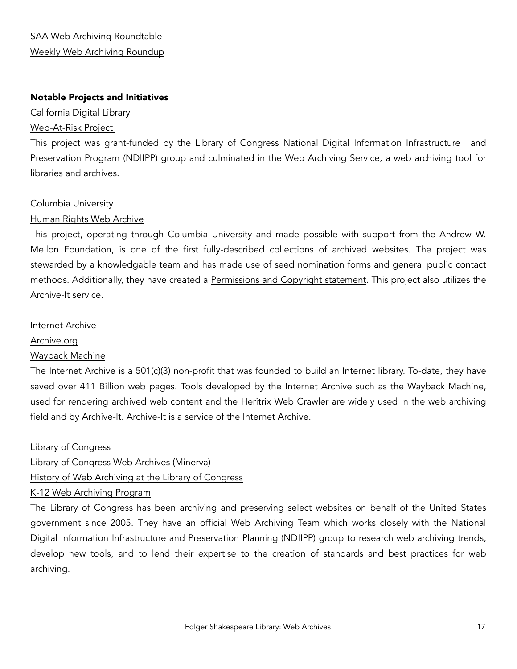#### Notable Projects and Initiatives

California Digital Library

#### [Web-At-Risk Project](http://www.cdlib.org/services/uc3/partners/webatrisk.html)

This project was grant-funded by the Library of Congress National Digital Information Infrastructure and Preservation Program (NDIIPP) group and culminated in the [Web Archiving Service,](http://webarchives.cdlib.org/) a web archiving tool for libraries and archives.

#### Columbia University

#### [Human Rights Web Archive](http://hrwa.cul.columbia.edu)

This project, operating through Columbia University and made possible with support from the Andrew W. Mellon Foundation, is one of the first fully-described collections of archived websites. The project was stewarded by a knowledgable team and has made use of seed nomination forms and general public contact methods. Additionally, they have created a [Permissions and Copyright statement.](http://hrwa.cul.columbia.edu/faq#faq_4) This project also utilizes the Archive-It service.

#### Internet Archive

#### [Archive.org](http://archive.org)

#### [Wayback Machine](https://archive.org/web/)

The Internet Archive is a 501(c)(3) non-profit that was founded to build an Internet library. To-date, they have saved over 411 Billion web pages. Tools developed by the Internet Archive such as the Wayback Machine, used for rendering archived web content and the Heritrix Web Crawler are widely used in the web archiving field and by Archive-It. Archive-It is a service of the Internet Archive.

Library of Congress

#### [Library of Congress Web Archives \(Minerva\)](http://lcweb2.loc.gov/diglib/lcwa/html/lcwa-home.html)

#### [History of Web Archiving at the Library of Congress](http://www.loc.gov/webarchiving/)

#### [K-12 Web Archiving Program](https://archive-it.org/k12/)

The Library of Congress has been archiving and preserving select websites on behalf of the United States government since 2005. They have an official Web Archiving Team which works closely with the National Digital Information Infrastructure and Preservation Planning (NDIIPP) group to research web archiving trends, develop new tools, and to lend their expertise to the creation of standards and best practices for web archiving.